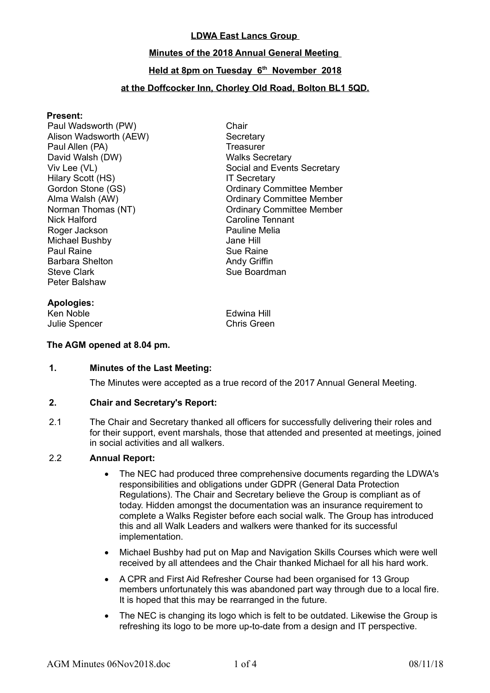### **LDWA East Lancs Group**

#### **Minutes of the 2018 Annual General Meeting**

### **Held at 8pm on Tuesday 6th November 2018**

#### **at the Doffcocker Inn, Chorley Old Road, Bolton BL1 5QD.**

#### **Present:**

Paul Wadsworth (PW) Chair Alison Wadsworth (AEW) Secretary Paul Allen (PA) Treasurer David Walsh (DW) National Market Walks Secretary Hilary Scott (HS) **IT Secretary** Nick Halford Caroline Tennant Roger Jackson Michael Bushby Jane Hill Paul Raine **Sue Raine** Sue Raine Barbara Shelton **Andy Griffin**<br>Steve Clark **Andy Griffin** Peter Balshaw

Viv Lee (VL) Contract Contract Contract Secretary Social and Events Secretary Gordon Stone (GS) Cordinary Committee Member Alma Walsh (AW) Ordinary Committee Member Norman Thomas (NT) Committee Member Sue Boardman

**Apologies:**

**Fdwina Hill** Julie Spencer Chris Green

#### **The AGM opened at 8.04 pm.**

#### **1. Minutes of the Last Meeting:**

The Minutes were accepted as a true record of the 2017 Annual General Meeting.

#### **2. Chair and Secretary's Report:**

2.1 The Chair and Secretary thanked all officers for successfully delivering their roles and for their support, event marshals, those that attended and presented at meetings, joined in social activities and all walkers.

#### 2.2 **Annual Report:**

- The NEC had produced three comprehensive documents regarding the LDWA's responsibilities and obligations under GDPR (General Data Protection Regulations). The Chair and Secretary believe the Group is compliant as of today. Hidden amongst the documentation was an insurance requirement to complete a Walks Register before each social walk. The Group has introduced this and all Walk Leaders and walkers were thanked for its successful implementation.
- Michael Bushby had put on Map and Navigation Skills Courses which were well received by all attendees and the Chair thanked Michael for all his hard work.
- A CPR and First Aid Refresher Course had been organised for 13 Group members unfortunately this was abandoned part way through due to a local fire. It is hoped that this may be rearranged in the future.
- The NEC is changing its logo which is felt to be outdated. Likewise the Group is refreshing its logo to be more up-to-date from a design and IT perspective.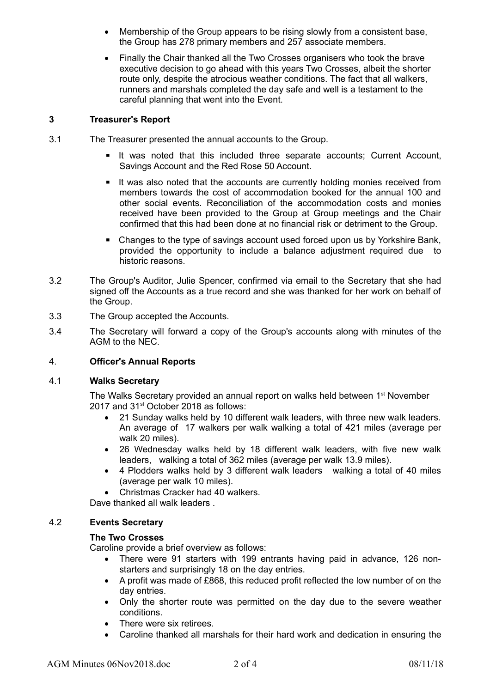- Membership of the Group appears to be rising slowly from a consistent base, the Group has 278 primary members and 257 associate members.
- Finally the Chair thanked all the Two Crosses organisers who took the brave executive decision to go ahead with this years Two Crosses, albeit the shorter route only, despite the atrocious weather conditions. The fact that all walkers, runners and marshals completed the day safe and well is a testament to the careful planning that went into the Event.

### **3 Treasurer's Report**

- 3.1 The Treasurer presented the annual accounts to the Group.
	- **E** It was noted that this included three separate accounts; Current Account, Savings Account and the Red Rose 50 Account.
	- It was also noted that the accounts are currently holding monies received from members towards the cost of accommodation booked for the annual 100 and other social events. Reconciliation of the accommodation costs and monies received have been provided to the Group at Group meetings and the Chair confirmed that this had been done at no financial risk or detriment to the Group.
	- Changes to the type of savings account used forced upon us by Yorkshire Bank, provided the opportunity to include a balance adjustment required due to historic reasons.
- 3.2 The Group's Auditor, Julie Spencer, confirmed via email to the Secretary that she had signed off the Accounts as a true record and she was thanked for her work on behalf of the Group.
- 3.3 The Group accepted the Accounts.
- 3.4 The Secretary will forward a copy of the Group's accounts along with minutes of the AGM to the NEC.

## 4. **Officer's Annual Reports**

### 4.1 **Walks Secretary**

The Walks Secretary provided an annual report on walks held between 1<sup>st</sup> November 2017 and 31<sup>st</sup> October 2018 as follows:

- 21 Sunday walks held by 10 different walk leaders, with three new walk leaders. An average of 17 walkers per walk walking a total of 421 miles (average per walk 20 miles).
- 26 Wednesday walks held by 18 different walk leaders, with five new walk leaders, walking a total of 362 miles (average per walk 13.9 miles).
- 4 Plodders walks held by 3 different walk leaders walking a total of 40 miles (average per walk 10 miles).
- Christmas Cracker had 40 walkers

Dave thanked all walk leaders.

## 4.2 **Events Secretary**

## **The Two Crosses**

Caroline provide a brief overview as follows:

- There were 91 starters with 199 entrants having paid in advance, 126 nonstarters and surprisingly 18 on the day entries.
- A profit was made of £868, this reduced profit reflected the low number of on the day entries.
- Only the shorter route was permitted on the day due to the severe weather conditions.
- There were six retirees.
- Caroline thanked all marshals for their hard work and dedication in ensuring the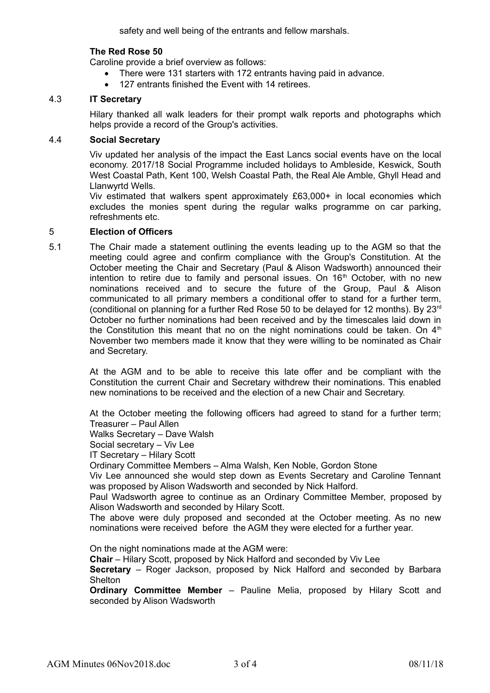safety and well being of the entrants and fellow marshals.

### **The Red Rose 50**

Caroline provide a brief overview as follows:

- There were 131 starters with 172 entrants having paid in advance.
- 127 entrants finished the Event with 14 retirees.

## 4.3 **IT Secretary**

Hilary thanked all walk leaders for their prompt walk reports and photographs which helps provide a record of the Group's activities.

## 4.4 **Social Secretary**

Viv updated her analysis of the impact the East Lancs social events have on the local economy. 2017/18 Social Programme included holidays to Ambleside, Keswick, South West Coastal Path, Kent 100, Welsh Coastal Path, the Real Ale Amble, Ghyll Head and Llanwyrtd Wells.

Viv estimated that walkers spent approximately £63,000+ in local economies which excludes the monies spent during the regular walks programme on car parking, refreshments etc.

#### 5 **Election of Officers**

5.1 The Chair made a statement outlining the events leading up to the AGM so that the meeting could agree and confirm compliance with the Group's Constitution. At the October meeting the Chair and Secretary (Paul & Alison Wadsworth) announced their intention to retire due to family and personal issues. On  $16<sup>th</sup>$  October, with no new nominations received and to secure the future of the Group, Paul & Alison communicated to all primary members a conditional offer to stand for a further term, (conditional on planning for a further Red Rose 50 to be delayed for 12 months). By 23rd October no further nominations had been received and by the timescales laid down in the Constitution this meant that no on the night nominations could be taken. On  $4<sup>th</sup>$ November two members made it know that they were willing to be nominated as Chair and Secretary.

> At the AGM and to be able to receive this late offer and be compliant with the Constitution the current Chair and Secretary withdrew their nominations. This enabled new nominations to be received and the election of a new Chair and Secretary.

> At the October meeting the following officers had agreed to stand for a further term; Treasurer – Paul Allen

Walks Secretary – Dave Walsh

Social secretary – Viv Lee

IT Secretary – Hilary Scott

Ordinary Committee Members – Alma Walsh, Ken Noble, Gordon Stone

Viv Lee announced she would step down as Events Secretary and Caroline Tennant was proposed by Alison Wadsworth and seconded by Nick Halford.

Paul Wadsworth agree to continue as an Ordinary Committee Member, proposed by Alison Wadsworth and seconded by Hilary Scott.

The above were duly proposed and seconded at the October meeting. As no new nominations were received before the AGM they were elected for a further year.

On the night nominations made at the AGM were:

**Chair** – Hilary Scott, proposed by Nick Halford and seconded by Viv Lee

**Secretary** – Roger Jackson, proposed by Nick Halford and seconded by Barbara **Shelton** 

**Ordinary Committee Member** – Pauline Melia, proposed by Hilary Scott and seconded by Alison Wadsworth